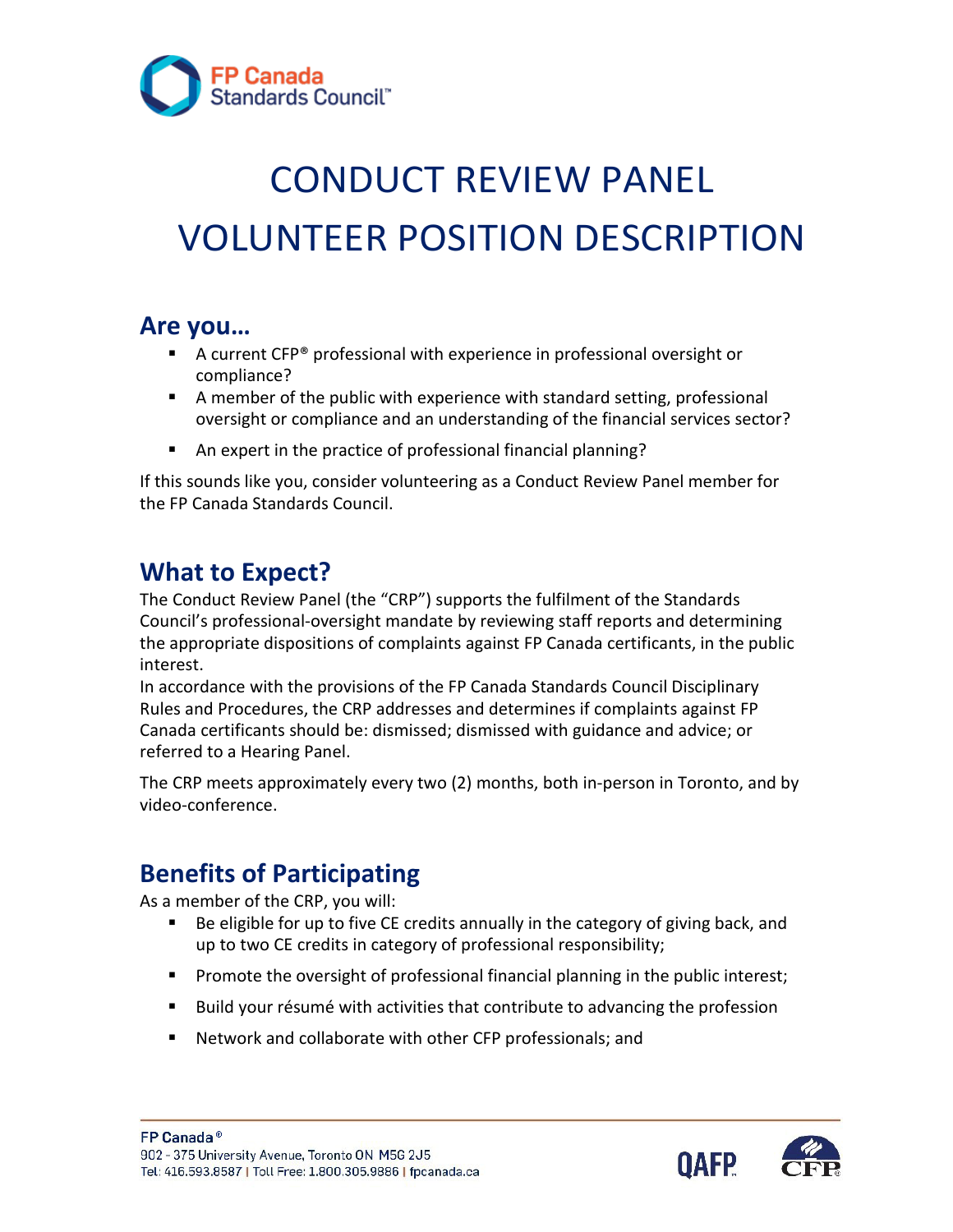

# CONDUCT REVIEW PANEL VOLUNTEER POSITION DESCRIPTION

#### **Are you…**

- A current CFP<sup>®</sup> professional with experience in professional oversight or compliance?
- A member of the public with experience with standard setting, professional oversight or compliance and an understanding of the financial services sector?
- An expert in the practice of professional financial planning?

If this sounds like you, consider volunteering as a Conduct Review Panel member for the FP Canada Standards Council.

#### **What to Expect?**

The Conduct Review Panel (the "CRP") supports the fulfilment of the Standards Council's professional-oversight mandate by reviewing staff reports and determining the appropriate dispositions of complaints against FP Canada certificants, in the public interest.

In accordance with the provisions of the FP Canada Standards Council Disciplinary Rules and Procedures, the CRP addresses and determines if complaints against FP Canada certificants should be: dismissed; dismissed with guidance and advice; or referred to a Hearing Panel.

The CRP meets approximately every two (2) months, both in-person in Toronto, and by video-conference.

## **Benefits of Participating**

As a member of the CRP, you will:

- Be eligible for up to five CE credits annually in the category of giving back, and up to two CE credits in category of professional responsibility;
- **Promote the oversight of professional financial planning in the public interest;**
- **Build your résumé with activities that contribute to advancing the profession**
- Network and collaborate with other CFP professionals; and